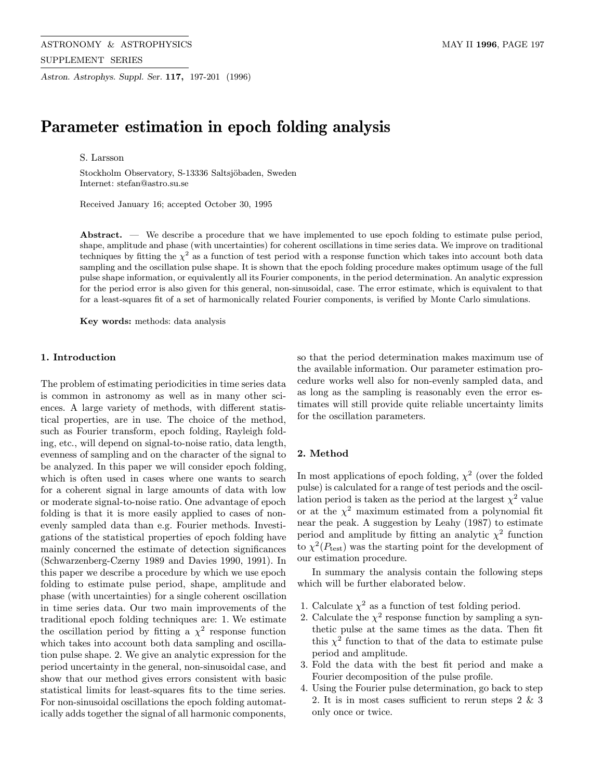ASTRONOMY & ASTROPHYSICS MAY II 1996, PAGE 197 SUPPLEMENT SERIES

Astron. Astrophys. Suppl. Ser. 117, 197-201 (1996)

# Parameter estimation in epoch folding analysis

S. Larsson

Stockholm Observatory, S-13336 Saltsjöbaden, Sweden Internet: stefan@astro.su.se

Received January 16; accepted October 30, 1995

Abstract. — We describe a procedure that we have implemented to use epoch folding to estimate pulse period, shape, amplitude and phase (with uncertainties) for coherent oscillations in time series data. We improve on traditional techniques by fitting the  $\chi^2$  as a function of test period with a response function which takes into account both data sampling and the oscillation pulse shape. It is shown that the epoch folding procedure makes optimum usage of the full pulse shape information, or equivalently all its Fourier components, in the period determination. An analytic expression for the period error is also given for this general, non-sinusoidal, case. The error estimate, which is equivalent to that for a least-squares fit of a set of harmonically related Fourier components, is verified by Monte Carlo simulations.

Key words: methods: data analysis

## 1. Introduction

The problem of estimating periodicities in time series data is common in astronomy as well as in many other sciences. A large variety of methods, with different statistical properties, are in use. The choice of the method, such as Fourier transform, epoch folding, Rayleigh folding, etc., will depend on signal-to-noise ratio, data length, evenness of sampling and on the character of the signal to be analyzed. In this paper we will consider epoch folding, which is often used in cases where one wants to search for a coherent signal in large amounts of data with low or moderate signal-to-noise ratio. One advantage of epoch folding is that it is more easily applied to cases of nonevenly sampled data than e.g. Fourier methods. Investigations of the statistical properties of epoch folding have mainly concerned the estimate of detection significances (Schwarzenberg-Czerny 1989 and Davies 1990, 1991). In this paper we describe a procedure by which we use epoch folding to estimate pulse period, shape, amplitude and phase (with uncertainties) for a single coherent oscillation in time series data. Our two main improvements of the traditional epoch folding techniques are: 1. We estimate the oscillation period by fitting a  $\chi^2$  response function which takes into account both data sampling and oscillation pulse shape. 2. We give an analytic expression for the period uncertainty in the general, non-sinusoidal case, and show that our method gives errors consistent with basic statistical limits for least-squares fits to the time series. For non-sinusoidal oscillations the epoch folding automatically adds together the signal of all harmonic components, so that the period determination makes maximum use of the available information. Our parameter estimation procedure works well also for non-evenly sampled data, and as long as the sampling is reasonably even the error estimates will still provide quite reliable uncertainty limits for the oscillation parameters.

## 2. Method

In most applications of epoch folding,  $\chi^2$  (over the folded pulse) is calculated for a range of test periods and the oscillation period is taken as the period at the largest  $\chi^2$  value or at the  $\chi^2$  maximum estimated from a polynomial fit near the peak. A suggestion by Leahy (1987) to estimate period and amplitude by fitting an analytic  $\chi^2$  function to  $\chi^2(P_{\text{test}})$  was the starting point for the development of our estimation procedure.

In summary the analysis contain the following steps which will be further elaborated below.

- 1. Calculate  $\chi^2$  as a function of test folding period.
- 2. Calculate the  $\chi^2$  response function by sampling a synthetic pulse at the same times as the data. Then fit this  $\chi^2$  function to that of the data to estimate pulse period and amplitude.
- 3. Fold the data with the best fit period and make a Fourier decomposition of the pulse profile.
- 4. Using the Fourier pulse determination, go back to step 2. It is in most cases sufficient to rerun steps 2 & 3 only once or twice.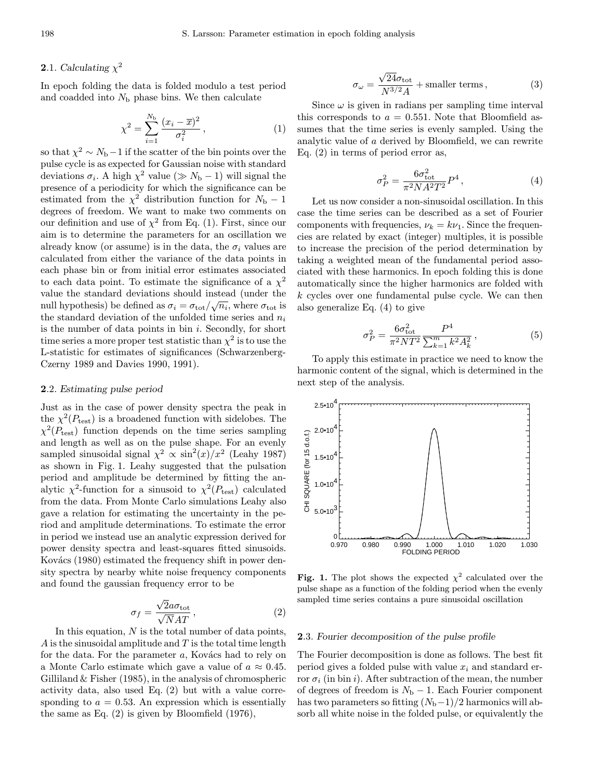# **2.1.** Calculating  $\chi^2$

In epoch folding the data is folded modulo a test period and coadded into  $N<sub>b</sub>$  phase bins. We then calculate

$$
\chi^2 = \sum_{i=1}^{N_{\rm b}} \frac{(x_i - \overline{x})^2}{\sigma_i^2},\tag{1}
$$

so that  $\chi^2 \sim N_{\rm b}-1$  if the scatter of the bin points over the pulse cycle is as expected for Gaussian noise with standard deviations  $\sigma_i$ . A high  $\chi^2$  value ( $\gg N_{\rm b} - 1$ ) will signal the presence of a periodicity for which the significance can be estimated from the  $\chi^2$  distribution function for  $N_{\rm b} - 1$ degrees of freedom. We want to make two comments on our definition and use of  $\chi^2$  from Eq. (1). First, since our aim is to determine the parameters for an oscillation we already know (or assume) is in the data, the  $\sigma_i$  values are calculated from either the variance of the data points in each phase bin or from initial error estimates associated to each data point. To estimate the significance of a  $\chi^2$ value the standard deviations should instead (under the null hypothesis) be defined as  $\sigma_i = \sigma_{\text{tot}}/\sqrt{n_i}$ , where  $\sigma_{\text{tot}}$  is the standard deviation of the unfolded time series and  $n_i$ is the number of data points in bin  $i$ . Secondly, for short time series a more proper test statistic than  $\chi^2$  is to use the L-statistic for estimates of significances (Schwarzenberg-Czerny 1989 and Davies 1990, 1991).

## 2.2. Estimating pulse period

Just as in the case of power density spectra the peak in the  $\chi^2(P_{\text{test}})$  is a broadened function with sidelobes. The  $\chi^2(P_{\text{test}})$  function depends on the time series sampling and length as well as on the pulse shape. For an evenly sampled sinusoidal signal  $\chi^2 \propto \sin^2(x)/x^2$  (Leahy 1987) as shown in Fig. 1. Leahy suggested that the pulsation period and amplitude be determined by fitting the analytic  $\chi^2$ -function for a sinusoid to  $\chi^2(P_{\text{test}})$  calculated from the data. From Monte Carlo simulations Leahy also gave a relation for estimating the uncertainty in the period and amplitude determinations. To estimate the error in period we instead use an analytic expression derived for power density spectra and least-squares fitted sinusoids. Kovács (1980) estimated the frequency shift in power density spectra by nearby white noise frequency components and found the gaussian frequency error to be

$$
\sigma_f = \frac{\sqrt{2}a\sigma_{\text{tot}}}{\sqrt{N}AT},\qquad(2)
$$

In this equation,  $N$  is the total number of data points,  $A$  is the sinusoidal amplitude and  $T$  is the total time length for the data. For the parameter  $a$ , Kovács had to rely on a Monte Carlo estimate which gave a value of  $a \approx 0.45$ . Gilliland  $&$  Fisher (1985), in the analysis of chromospheric activity data, also used Eq. (2) but with a value corresponding to  $a = 0.53$ . An expression which is essentially the same as Eq. (2) is given by Bloomfield (1976),

$$
\sigma_{\omega} = \frac{\sqrt{24}\sigma_{\text{tot}}}{N^{3/2}A} + \text{smaller terms},\qquad(3)
$$

Since  $\omega$  is given in radians per sampling time interval this corresponds to  $a = 0.551$ . Note that Bloomfield assumes that the time series is evenly sampled. Using the analytic value of a derived by Bloomfield, we can rewrite Eq. (2) in terms of period error as,

$$
\sigma_P^2 = \frac{6\sigma_{\text{tot}}^2}{\pi^2 N A^2 T^2} P^4, \qquad (4)
$$

Let us now consider a non-sinusoidal oscillation. In this case the time series can be described as a set of Fourier components with frequencies,  $\nu_k = k\nu_1$ . Since the frequencies are related by exact (integer) multiples, it is possible to increase the precision of the period determination by taking a weighted mean of the fundamental period associated with these harmonics. In epoch folding this is done automatically since the higher harmonics are folded with k cycles over one fundamental pulse cycle. We can then also generalize Eq. (4) to give

$$
\sigma_P^2 = \frac{6\sigma_{\text{tot}}^2}{\pi^2 NT^2} \frac{P^4}{\sum_{k=1}^m k^2 A_k^2},\tag{5}
$$

To apply this estimate in practice we need to know the harmonic content of the signal, which is determined in the next step of the analysis.



Fig. 1. The plot shows the expected  $\chi^2$  calculated over the pulse shape as a function of the folding period when the evenly sampled time series contains a pure sinusoidal oscillation

#### 2.3. Fourier decomposition of the pulse profile

The Fourier decomposition is done as follows. The best fit period gives a folded pulse with value  $x_i$  and standard error  $\sigma_i$  (in bin i). After subtraction of the mean, the number of degrees of freedom is  $N_{\rm b} - 1$ . Each Fourier component has two parameters so fitting  $(N_b-1)/2$  harmonics will absorb all white noise in the folded pulse, or equivalently the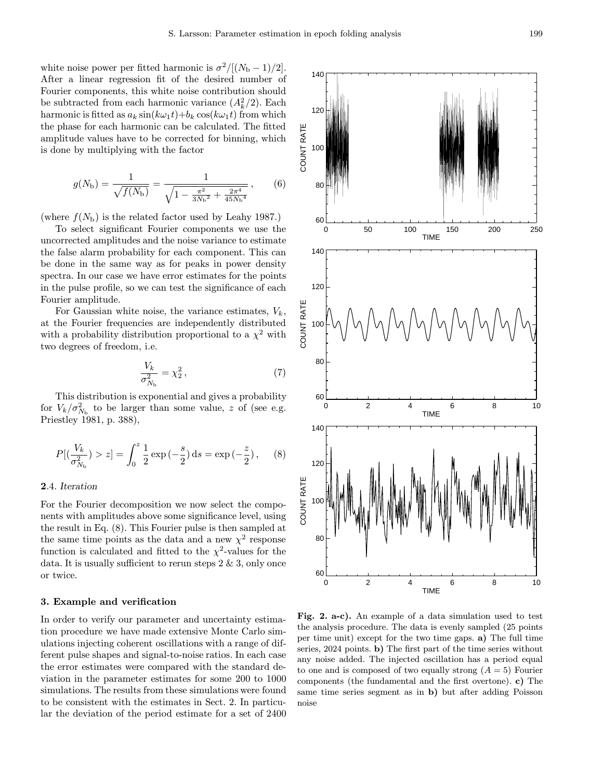white noise power per fitted harmonic is  $\sigma^2/[(N_{\rm b}-1)/2]$ . After a linear regression fit of the desired number of Fourier components, this white noise contribution should be subtracted from each harmonic variance  $(A_k^2/2)$ . Each harmonic is fitted as  $a_k \sin(k\omega_1 t) + b_k \cos(k\omega_1 t)$  from which the phase for each harmonic can be calculated. The fitted amplitude values have to be corrected for binning, which is done by multiplying with the factor

$$
g(N_{\rm b}) = \frac{1}{\sqrt{f(N_{\rm b})}} = \frac{1}{\sqrt{1 - \frac{\pi^2}{3N_{\rm b}^2} + \frac{2\pi^4}{45N_{\rm b}^4}}},\qquad(6)
$$

(where  $f(N_{\rm b})$  is the related factor used by Leahy 1987.)

To select significant Fourier components we use the uncorrected amplitudes and the noise variance to estimate the false alarm probability for each component. This can be done in the same way as for peaks in power density spectra. In our case we have error estimates for the points in the pulse profile, so we can test the significance of each Fourier amplitude.

For Gaussian white noise, the variance estimates,  $V_k$ , at the Fourier frequencies are independently distributed with a probability distribution proportional to a  $\chi^2$  with two degrees of freedom, i.e.

$$
\frac{V_k}{\sigma_{N_{\rm b}}^2} = \chi_2^2 \,,\tag{7}
$$

This distribution is exponential and gives a probability for  $V_k / \sigma_{N_{\rm b}}^2$  to be larger than some value, z of (see e.g. Priestley 1981, p. 388),

$$
P[(\frac{V_k}{\sigma_{N_{\rm b}}^2}) > z] = \int_0^z \frac{1}{2} \exp(-\frac{s}{2}) \, \mathrm{d}s = \exp(-\frac{z}{2}), \quad (8)
$$

## 2.4. Iteration

For the Fourier decomposition we now select the components with amplitudes above some significance level, using the result in Eq. (8). This Fourier pulse is then sampled at the same time points as the data and a new  $\chi^2$  response function is calculated and fitted to the  $\chi^2$ -values for the data. It is usually sufficient to rerun steps  $2 \& 3$ , only once or twice.

#### 3. Example and verification

In order to verify our parameter and uncertainty estimation procedure we have made extensive Monte Carlo simulations injecting coherent oscillations with a range of different pulse shapes and signal-to-noise ratios. In each case the error estimates were compared with the standard deviation in the parameter estimates for some 200 to 1000 simulations. The results from these simulations were found to be consistent with the estimates in Sect. 2. In particular the deviation of the period estimate for a set of 2400



Fig. 2. a-c). An example of a data simulation used to test the analysis procedure. The data is evenly sampled (25 points per time unit) except for the two time gaps. a) The full time series, 2024 points. b) The first part of the time series without any noise added. The injected oscillation has a period equal to one and is composed of two equally strong  $(A = 5)$  Fourier components (the fundamental and the first overtone). c) The same time series segment as in b) but after adding Poisson noise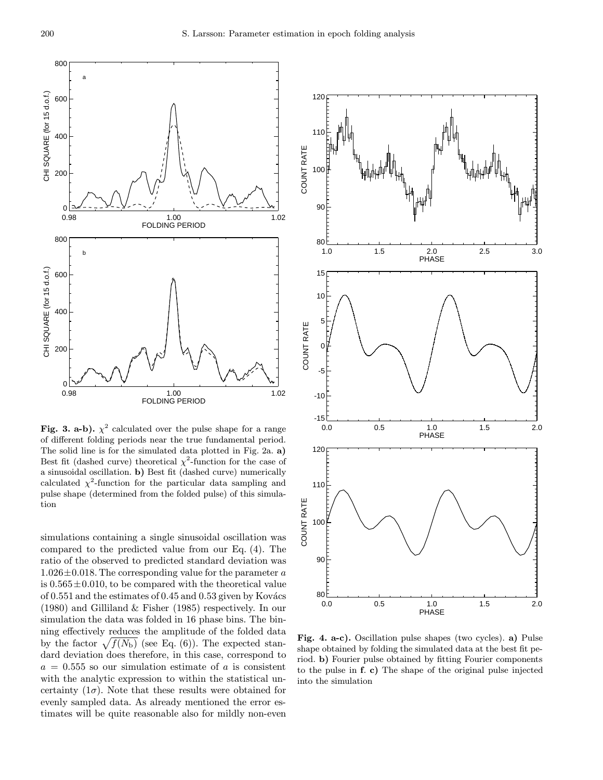

Fig. 3. a-b).  $\chi^2$  calculated over the pulse shape for a range of different folding periods near the true fundamental period. The solid line is for the simulated data plotted in Fig. 2a. a) Best fit (dashed curve) theoretical  $\chi^2$ -function for the case of a sinusoidal oscillation. b) Best fit (dashed curve) numerically calculated  $\chi^2$ -function for the particular data sampling and pulse shape (determined from the folded pulse) of this simulation

simulations containing a single sinusoidal oscillation was compared to the predicted value from our Eq. (4). The ratio of the observed to predicted standard deviation was  $1.026\pm0.018$ . The corresponding value for the parameter a is  $0.565 \pm 0.010$ , to be compared with the theoretical value of  $0.551$  and the estimates of  $0.45$  and  $0.53$  given by Kovács (1980) and Gilliland & Fisher (1985) respectively. In our simulation the data was folded in 16 phase bins. The binning effectively reduces the amplitude of the folded data by the factor  $\sqrt{f(N_{\rm b})}$  (see Eq. (6)). The expected standard deviation does therefore, in this case, correspond to  $a = 0.555$  so our simulation estimate of a is consistent with the analytic expression to within the statistical uncertainty  $(1\sigma)$ . Note that these results were obtained for evenly sampled data. As already mentioned the error estimates will be quite reasonable also for mildly non-even



Fig. 4. a-c). Oscillation pulse shapes (two cycles). a) Pulse shape obtained by folding the simulated data at the best fit period. b) Fourier pulse obtained by fitting Fourier components to the pulse in f. c) The shape of the original pulse injected into the simulation